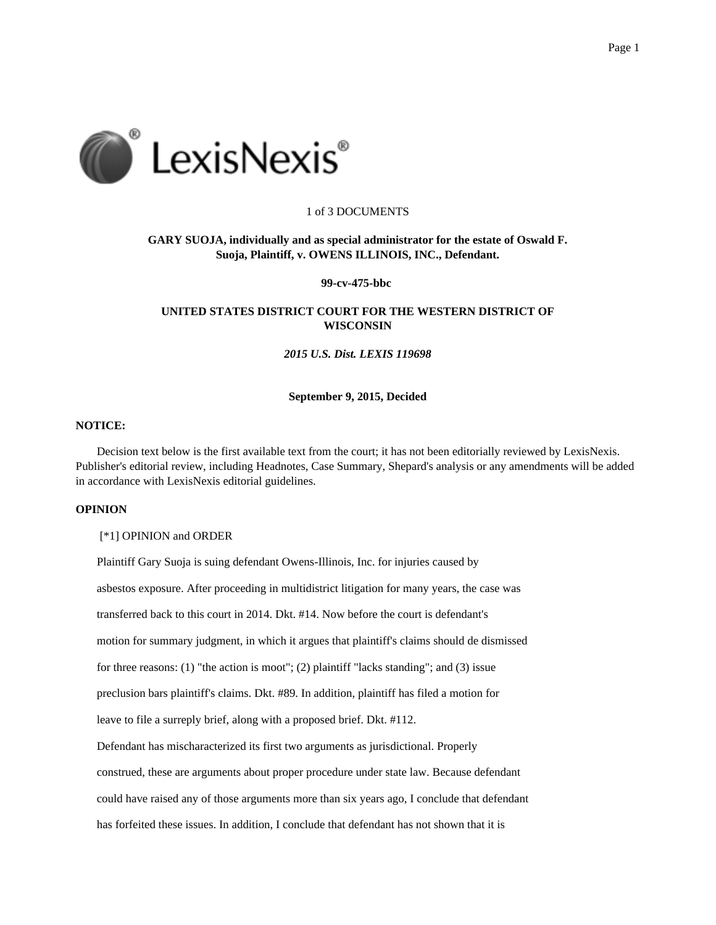

## 1 of 3 DOCUMENTS

# **GARY SUOJA, individually and as special administrator for the estate of Oswald F. Suoja, Plaintiff, v. OWENS ILLINOIS, INC., Defendant.**

**99-cv-475-bbc**

# **UNITED STATES DISTRICT COURT FOR THE WESTERN DISTRICT OF WISCONSIN**

*2015 U.S. Dist. LEXIS 119698*

#### **September 9, 2015, Decided**

## **NOTICE:**

Decision text below is the first available text from the court; it has not been editorially reviewed by LexisNexis. Publisher's editorial review, including Headnotes, Case Summary, Shepard's analysis or any amendments will be added in accordance with LexisNexis editorial guidelines.

# **OPINION**

[\*1] OPINION and ORDER

Plaintiff Gary Suoja is suing defendant Owens-Illinois, Inc. for injuries caused by asbestos exposure. After proceeding in multidistrict litigation for many years, the case was transferred back to this court in 2014. Dkt. #14. Now before the court is defendant's motion for summary judgment, in which it argues that plaintiff's claims should de dismissed for three reasons: (1) "the action is moot"; (2) plaintiff "lacks standing"; and (3) issue preclusion bars plaintiff's claims. Dkt. #89. In addition, plaintiff has filed a motion for leave to file a surreply brief, along with a proposed brief. Dkt. #112. Defendant has mischaracterized its first two arguments as jurisdictional. Properly construed, these are arguments about proper procedure under state law. Because defendant could have raised any of those arguments more than six years ago, I conclude that defendant has forfeited these issues. In addition, I conclude that defendant has not shown that it is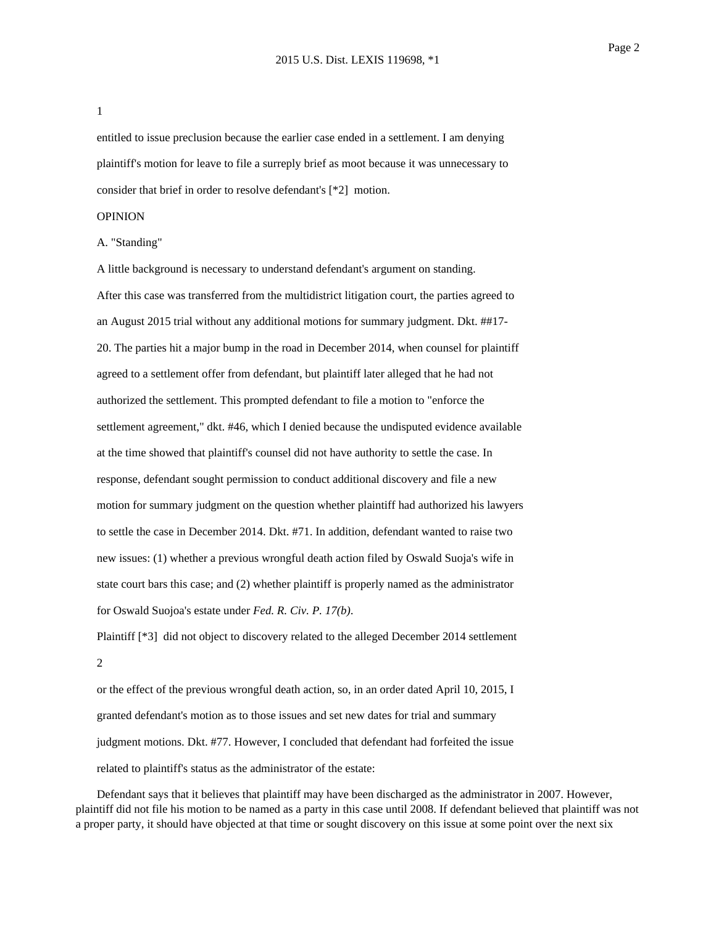1

entitled to issue preclusion because the earlier case ended in a settlement. I am denying plaintiff's motion for leave to file a surreply brief as moot because it was unnecessary to consider that brief in order to resolve defendant's [\*2] motion.

#### OPINION

### A. "Standing"

A little background is necessary to understand defendant's argument on standing. After this case was transferred from the multidistrict litigation court, the parties agreed to an August 2015 trial without any additional motions for summary judgment. Dkt. ##17- 20. The parties hit a major bump in the road in December 2014, when counsel for plaintiff agreed to a settlement offer from defendant, but plaintiff later alleged that he had not authorized the settlement. This prompted defendant to file a motion to "enforce the settlement agreement," dkt. #46, which I denied because the undisputed evidence available at the time showed that plaintiff's counsel did not have authority to settle the case. In response, defendant sought permission to conduct additional discovery and file a new motion for summary judgment on the question whether plaintiff had authorized his lawyers to settle the case in December 2014. Dkt. #71. In addition, defendant wanted to raise two new issues: (1) whether a previous wrongful death action filed by Oswald Suoja's wife in state court bars this case; and (2) whether plaintiff is properly named as the administrator for Oswald Suojoa's estate under *Fed. R. Civ. P. 17(b)*.

Plaintiff [\*3] did not object to discovery related to the alleged December 2014 settlement 2

or the effect of the previous wrongful death action, so, in an order dated April 10, 2015, I granted defendant's motion as to those issues and set new dates for trial and summary judgment motions. Dkt. #77. However, I concluded that defendant had forfeited the issue related to plaintiff's status as the administrator of the estate:

Defendant says that it believes that plaintiff may have been discharged as the administrator in 2007. However, plaintiff did not file his motion to be named as a party in this case until 2008. If defendant believed that plaintiff was not a proper party, it should have objected at that time or sought discovery on this issue at some point over the next six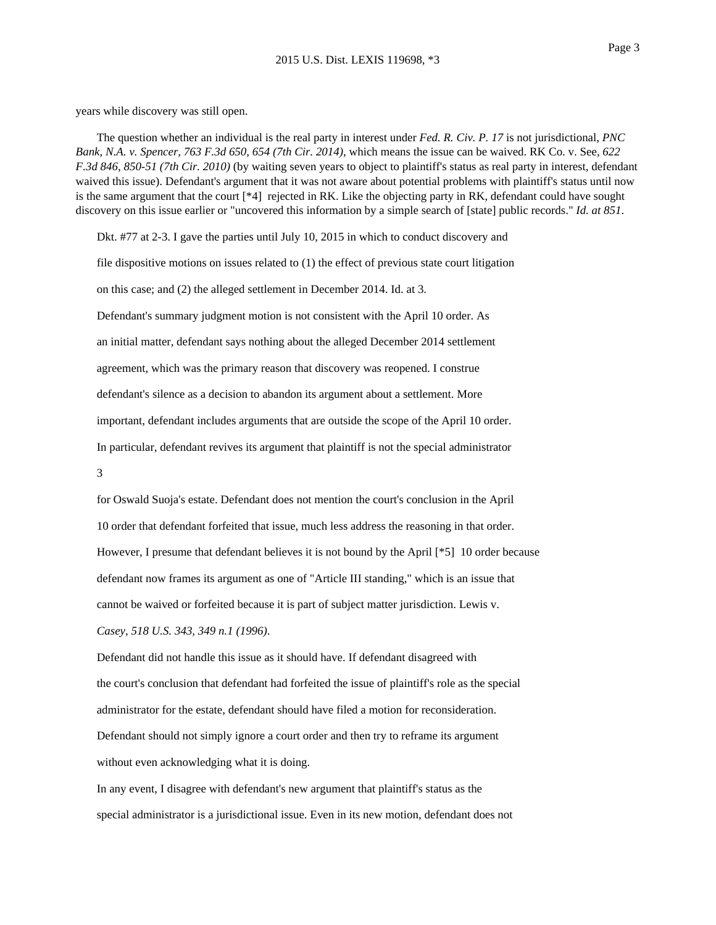years while discovery was still open.

The question whether an individual is the real party in interest under *Fed. R. Civ. P. 17* is not jurisdictional, *PNC Bank, N.A. v. Spencer, 763 F.3d 650, 654 (7th Cir. 2014)*, which means the issue can be waived. RK Co. v. See, *622 F.3d 846, 850-51 (7th Cir. 2010)* (by waiting seven years to object to plaintiff's status as real party in interest, defendant waived this issue). Defendant's argument that it was not aware about potential problems with plaintiff's status until now is the same argument that the court [\*4] rejected in RK. Like the objecting party in RK, defendant could have sought discovery on this issue earlier or "uncovered this information by a simple search of [state] public records." *Id. at 851*.

Dkt. #77 at 2-3. I gave the parties until July 10, 2015 in which to conduct discovery and

file dispositive motions on issues related to (1) the effect of previous state court litigation

on this case; and (2) the alleged settlement in December 2014. Id. at 3.

Defendant's summary judgment motion is not consistent with the April 10 order. As an initial matter, defendant says nothing about the alleged December 2014 settlement agreement, which was the primary reason that discovery was reopened. I construe defendant's silence as a decision to abandon its argument about a settlement. More important, defendant includes arguments that are outside the scope of the April 10 order. In particular, defendant revives its argument that plaintiff is not the special administrator

3

for Oswald Suoja's estate. Defendant does not mention the court's conclusion in the April 10 order that defendant forfeited that issue, much less address the reasoning in that order. However, I presume that defendant believes it is not bound by the April [\*5] 10 order because defendant now frames its argument as one of "Article III standing," which is an issue that cannot be waived or forfeited because it is part of subject matter jurisdiction. Lewis v. *Casey, 518 U.S. 343, 349 n.1 (1996)*.

Defendant did not handle this issue as it should have. If defendant disagreed with the court's conclusion that defendant had forfeited the issue of plaintiff's role as the special administrator for the estate, defendant should have filed a motion for reconsideration. Defendant should not simply ignore a court order and then try to reframe its argument without even acknowledging what it is doing.

In any event, I disagree with defendant's new argument that plaintiff's status as the special administrator is a jurisdictional issue. Even in its new motion, defendant does not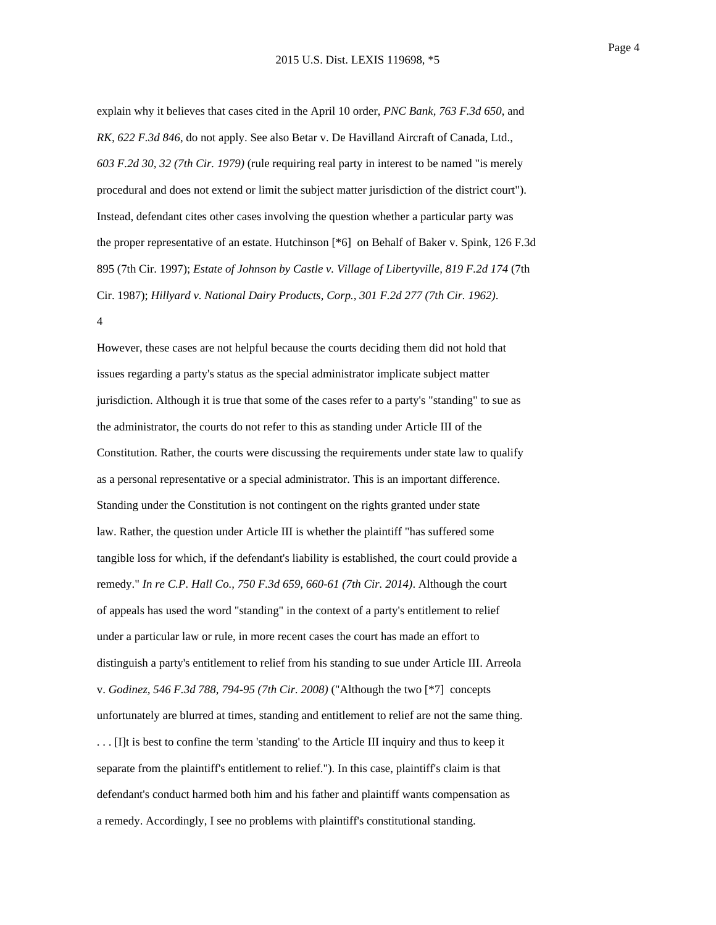explain why it believes that cases cited in the April 10 order, *PNC Bank, 763 F.3d 650*, and *RK, 622 F.3d 846*, do not apply. See also Betar v. De Havilland Aircraft of Canada, Ltd., *603 F.2d 30, 32 (7th Cir. 1979)* (rule requiring real party in interest to be named "is merely procedural and does not extend or limit the subject matter jurisdiction of the district court"). Instead, defendant cites other cases involving the question whether a particular party was the proper representative of an estate. Hutchinson [\*6] on Behalf of Baker v. Spink, 126 F.3d 895 (7th Cir. 1997); *Estate of Johnson by Castle v. Village of Libertyville, 819 F.2d 174* (7th Cir. 1987); *Hillyard v. National Dairy Products, Corp., 301 F.2d 277 (7th Cir. 1962)*.

4

However, these cases are not helpful because the courts deciding them did not hold that issues regarding a party's status as the special administrator implicate subject matter jurisdiction. Although it is true that some of the cases refer to a party's "standing" to sue as the administrator, the courts do not refer to this as standing under Article III of the Constitution. Rather, the courts were discussing the requirements under state law to qualify as a personal representative or a special administrator. This is an important difference. Standing under the Constitution is not contingent on the rights granted under state law. Rather, the question under Article III is whether the plaintiff "has suffered some tangible loss for which, if the defendant's liability is established, the court could provide a remedy." *In re C.P. Hall Co., 750 F.3d 659, 660-61 (7th Cir. 2014)*. Although the court of appeals has used the word "standing" in the context of a party's entitlement to relief under a particular law or rule, in more recent cases the court has made an effort to distinguish a party's entitlement to relief from his standing to sue under Article III. Arreola v. *Godinez, 546 F.3d 788, 794-95 (7th Cir. 2008)* ("Although the two [\*7] concepts unfortunately are blurred at times, standing and entitlement to relief are not the same thing. . . . [I]t is best to confine the term 'standing' to the Article III inquiry and thus to keep it separate from the plaintiff's entitlement to relief."). In this case, plaintiff's claim is that defendant's conduct harmed both him and his father and plaintiff wants compensation as a remedy. Accordingly, I see no problems with plaintiff's constitutional standing.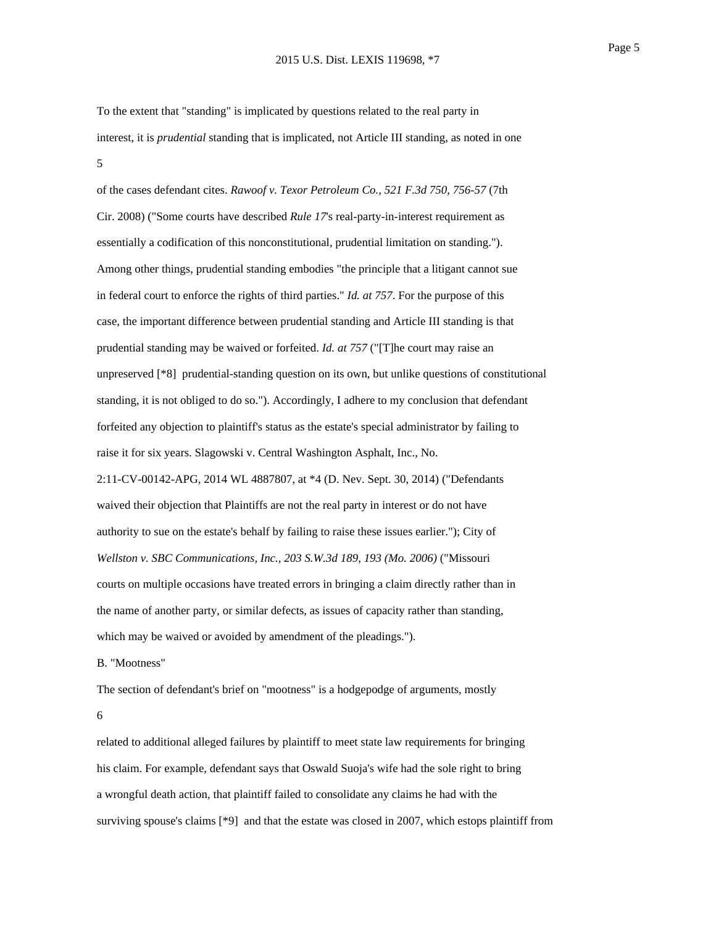To the extent that "standing" is implicated by questions related to the real party in interest, it is *prudential* standing that is implicated, not Article III standing, as noted in one 5

of the cases defendant cites. *Rawoof v. Texor Petroleum Co., 521 F.3d 750, 756-57* (7th Cir. 2008) ("Some courts have described *Rule 17*'s real-party-in-interest requirement as essentially a codification of this nonconstitutional, prudential limitation on standing."). Among other things, prudential standing embodies "the principle that a litigant cannot sue in federal court to enforce the rights of third parties." *Id. at 757*. For the purpose of this case, the important difference between prudential standing and Article III standing is that prudential standing may be waived or forfeited. *Id. at 757* ("[T]he court may raise an unpreserved [\*8] prudential-standing question on its own, but unlike questions of constitutional standing, it is not obliged to do so."). Accordingly, I adhere to my conclusion that defendant forfeited any objection to plaintiff's status as the estate's special administrator by failing to raise it for six years. Slagowski v. Central Washington Asphalt, Inc., No. 2:11-CV-00142-APG, 2014 WL 4887807, at \*4 (D. Nev. Sept. 30, 2014) ("Defendants waived their objection that Plaintiffs are not the real party in interest or do not have authority to sue on the estate's behalf by failing to raise these issues earlier."); City of *Wellston v. SBC Communications, Inc., 203 S.W.3d 189, 193 (Mo. 2006)* ("Missouri courts on multiple occasions have treated errors in bringing a claim directly rather than in the name of another party, or similar defects, as issues of capacity rather than standing, which may be waived or avoided by amendment of the pleadings.").

B. "Mootness"

The section of defendant's brief on "mootness" is a hodgepodge of arguments, mostly 6

related to additional alleged failures by plaintiff to meet state law requirements for bringing his claim. For example, defendant says that Oswald Suoja's wife had the sole right to bring a wrongful death action, that plaintiff failed to consolidate any claims he had with the surviving spouse's claims [\*9] and that the estate was closed in 2007, which estops plaintiff from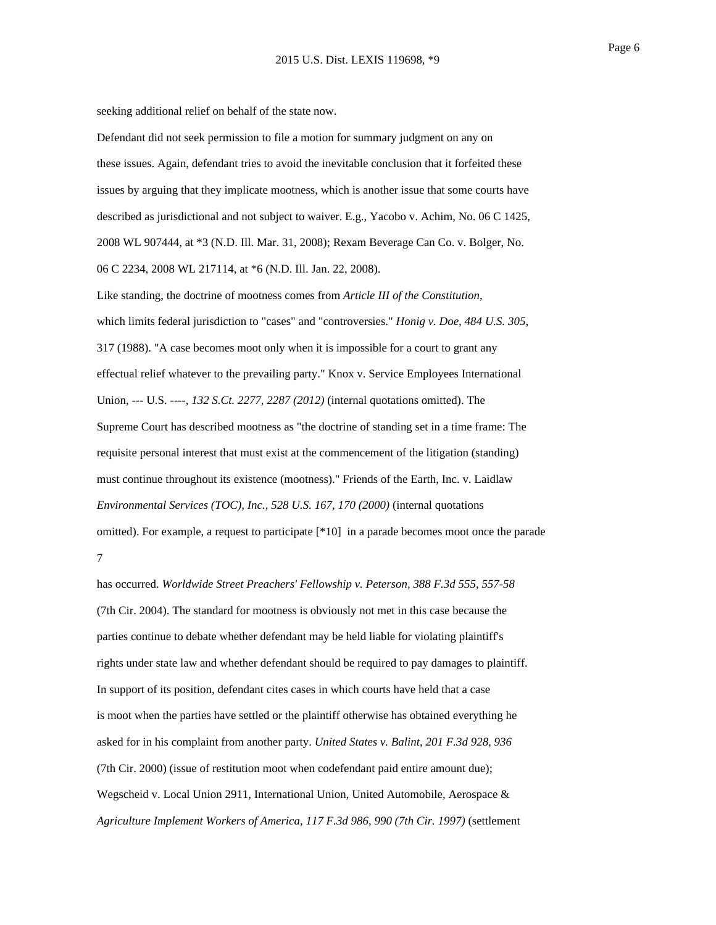Page 6

seeking additional relief on behalf of the state now.

Defendant did not seek permission to file a motion for summary judgment on any on these issues. Again, defendant tries to avoid the inevitable conclusion that it forfeited these issues by arguing that they implicate mootness, which is another issue that some courts have described as jurisdictional and not subject to waiver. E.g., Yacobo v. Achim, No. 06 C 1425, 2008 WL 907444, at \*3 (N.D. Ill. Mar. 31, 2008); Rexam Beverage Can Co. v. Bolger, No. 06 C 2234, 2008 WL 217114, at \*6 (N.D. Ill. Jan. 22, 2008).

Like standing, the doctrine of mootness comes from *Article III of the Constitution*, which limits federal jurisdiction to "cases" and "controversies." *Honig v. Doe, 484 U.S. 305*, 317 (1988). "A case becomes moot only when it is impossible for a court to grant any effectual relief whatever to the prevailing party." Knox v. Service Employees International Union, --- U.S. ----, *132 S.Ct. 2277, 2287 (2012)* (internal quotations omitted). The Supreme Court has described mootness as "the doctrine of standing set in a time frame: The requisite personal interest that must exist at the commencement of the litigation (standing) must continue throughout its existence (mootness)." Friends of the Earth, Inc. v. Laidlaw *Environmental Services (TOC), Inc., 528 U.S. 167, 170 (2000)* (internal quotations omitted). For example, a request to participate [\*10] in a parade becomes moot once the parade 7

has occurred. *Worldwide Street Preachers' Fellowship v. Peterson, 388 F.3d 555, 557-58* (7th Cir. 2004). The standard for mootness is obviously not met in this case because the parties continue to debate whether defendant may be held liable for violating plaintiff's rights under state law and whether defendant should be required to pay damages to plaintiff. In support of its position, defendant cites cases in which courts have held that a case is moot when the parties have settled or the plaintiff otherwise has obtained everything he asked for in his complaint from another party. *United States v. Balint, 201 F.3d 928, 936* (7th Cir. 2000) (issue of restitution moot when codefendant paid entire amount due); Wegscheid v. Local Union 2911, International Union, United Automobile, Aerospace & *Agriculture Implement Workers of America, 117 F.3d 986, 990 (7th Cir. 1997)* (settlement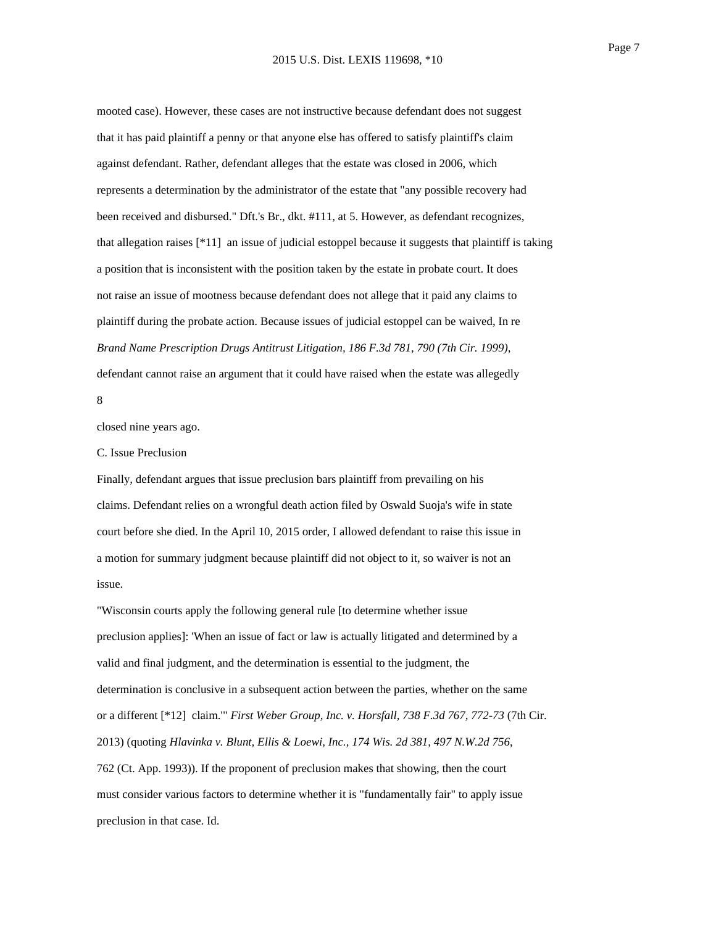mooted case). However, these cases are not instructive because defendant does not suggest that it has paid plaintiff a penny or that anyone else has offered to satisfy plaintiff's claim against defendant. Rather, defendant alleges that the estate was closed in 2006, which represents a determination by the administrator of the estate that "any possible recovery had been received and disbursed." Dft.'s Br., dkt. #111, at 5. However, as defendant recognizes, that allegation raises [\*11] an issue of judicial estoppel because it suggests that plaintiff is taking a position that is inconsistent with the position taken by the estate in probate court. It does not raise an issue of mootness because defendant does not allege that it paid any claims to plaintiff during the probate action. Because issues of judicial estoppel can be waived, In re *Brand Name Prescription Drugs Antitrust Litigation, 186 F.3d 781, 790 (7th Cir. 1999)*, defendant cannot raise an argument that it could have raised when the estate was allegedly 8

closed nine years ago.

#### C. Issue Preclusion

Finally, defendant argues that issue preclusion bars plaintiff from prevailing on his claims. Defendant relies on a wrongful death action filed by Oswald Suoja's wife in state court before she died. In the April 10, 2015 order, I allowed defendant to raise this issue in a motion for summary judgment because plaintiff did not object to it, so waiver is not an issue.

"Wisconsin courts apply the following general rule [to determine whether issue preclusion applies]: 'When an issue of fact or law is actually litigated and determined by a valid and final judgment, and the determination is essential to the judgment, the determination is conclusive in a subsequent action between the parties, whether on the same or a different [\*12] claim.'" *First Weber Group, Inc. v. Horsfall, 738 F.3d 767, 772-73* (7th Cir. 2013) (quoting *Hlavinka v. Blunt, Ellis & Loewi, Inc., 174 Wis. 2d 381, 497 N.W.2d 756*, 762 (Ct. App. 1993)). If the proponent of preclusion makes that showing, then the court must consider various factors to determine whether it is "fundamentally fair" to apply issue preclusion in that case. Id.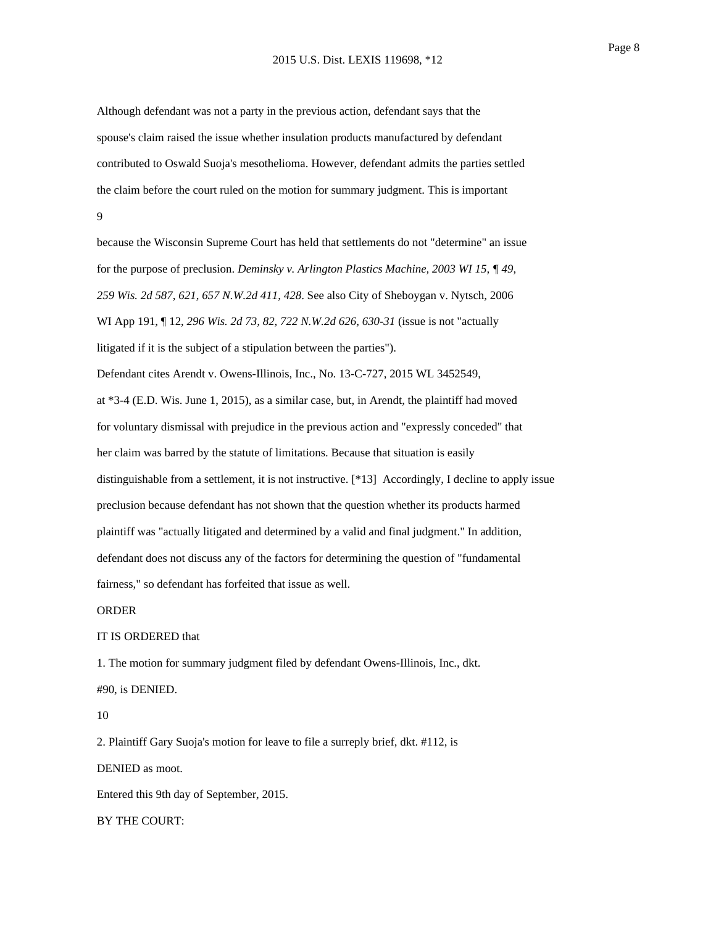Although defendant was not a party in the previous action, defendant says that the spouse's claim raised the issue whether insulation products manufactured by defendant contributed to Oswald Suoja's mesothelioma. However, defendant admits the parties settled the claim before the court ruled on the motion for summary judgment. This is important 9

because the Wisconsin Supreme Court has held that settlements do not "determine" an issue for the purpose of preclusion. *Deminsky v. Arlington Plastics Machine, 2003 WI 15, ¶ 49*, *259 Wis. 2d 587, 621, 657 N.W.2d 411, 428*. See also City of Sheboygan v. Nytsch, 2006 WI App 191, ¶ 12, *296 Wis. 2d 73, 82, 722 N.W.2d 626, 630-31* (issue is not "actually litigated if it is the subject of a stipulation between the parties"). Defendant cites Arendt v. Owens-Illinois, Inc., No. 13-C-727, 2015 WL 3452549, at \*3-4 (E.D. Wis. June 1, 2015), as a similar case, but, in Arendt, the plaintiff had moved for voluntary dismissal with prejudice in the previous action and "expressly conceded" that her claim was barred by the statute of limitations. Because that situation is easily distinguishable from a settlement, it is not instructive. [\*13] Accordingly, I decline to apply issue preclusion because defendant has not shown that the question whether its products harmed plaintiff was "actually litigated and determined by a valid and final judgment." In addition, defendant does not discuss any of the factors for determining the question of "fundamental fairness," so defendant has forfeited that issue as well.

## ORDER

## IT IS ORDERED that

1. The motion for summary judgment filed by defendant Owens-Illinois, Inc., dkt. #90, is DENIED.

#### 10

2. Plaintiff Gary Suoja's motion for leave to file a surreply brief, dkt. #112, is DENIED as moot. Entered this 9th day of September, 2015. BY THE COURT: